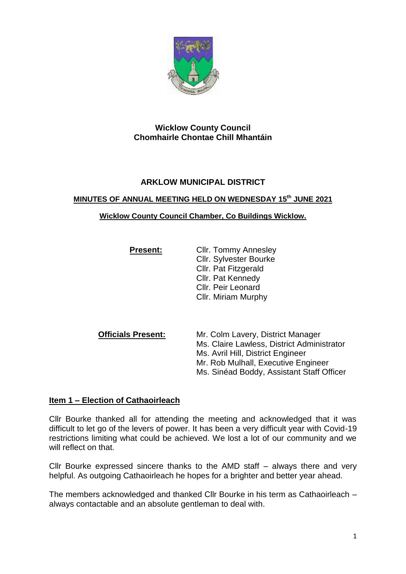

# **Wicklow County Council Chomhairle Chontae Chill Mhantáin**

# **ARKLOW MUNICIPAL DISTRICT**

## **MINUTES OF ANNUAL MEETING HELD ON WEDNESDAY 15 th JUNE 2021**

#### **Wicklow County Council Chamber, Co Buildings Wicklow.**

| <b>Present:</b> | <b>Cllr. Tommy Annesley</b>   |
|-----------------|-------------------------------|
|                 | <b>Cllr. Sylvester Bourke</b> |
|                 | Cllr. Pat Fitzgerald          |
|                 | <b>CIIr. Pat Kennedy</b>      |
|                 | <b>Cllr. Peir Leonard</b>     |
|                 | Cllr. Miriam Murphy           |

**Officials Present:** Mr. Colm Lavery, District Manager Ms. Claire Lawless, District Administrator Ms. Avril Hill, District Engineer Mr. Rob Mulhall, Executive Engineer Ms. Sinéad Boddy, Assistant Staff Officer

# **Item 1 – Election of Cathaoirleach**

Cllr Bourke thanked all for attending the meeting and acknowledged that it was difficult to let go of the levers of power. It has been a very difficult year with Covid-19 restrictions limiting what could be achieved. We lost a lot of our community and we will reflect on that.

Cllr Bourke expressed sincere thanks to the AMD staff – always there and very helpful. As outgoing Cathaoirleach he hopes for a brighter and better year ahead.

The members acknowledged and thanked Cllr Bourke in his term as Cathaoirleach – always contactable and an absolute gentleman to deal with.